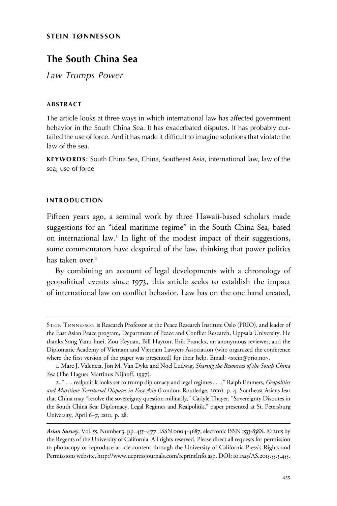# The South China Sea

Law Trumps Power

# ABSTRACT

The article looks at three ways in which international law has affected government behavior in the South China Sea. It has exacerbated disputes. It has probably curtailed the use of force. And it has made it difficult to imagine solutions that violate the law of the sea.

KEYWORDS: South China Sea, China, Southeast Asia, international law, law of the sea, use of force

## INTRODUCTION

Fifteen years ago, a seminal work by three Hawaii-based scholars made suggestions for an ''ideal maritime regime'' in the South China Sea, based on international law.<sup>1</sup> In light of the modest impact of their suggestions, some commentators have despaired of the law, thinking that power politics has taken over<sup>2</sup>

By combining an account of legal developments with a chronology of geopolitical events since 1973, this article seeks to establish the impact of international law on conflict behavior. Law has on the one hand created,

STEIN TØNNESSON is Research Professor at the Peace Research Institute Oslo (PRIO), and leader of the East Asian Peace program, Department of Peace and Conflict Research, Uppsala University. He thanks Song Yann-huei, Zou Keyuan, Bill Hayton, Erik Franckx, an anonymous reviewer, and the Diplomatic Academy of Vietnam and Vietnam Lawyers Association (who organized the conference where the first version of the paper was presented) for their help. Email: <stein@prio.no>.

<sup>1.</sup> Marc J. Valencia, Jon M. Van Dyke and Noel Ludwig, Sharing the Resources of the South China Sea (The Hague: Martinus Nijhoff, 1997).

<sup>2. &</sup>quot;... realpolitik looks set to trump diplomacy and legal regimes...," Ralph Emmers, Geopolitics and Maritime Territorial Disputes in East Asia (London: Routledge, 2010), p. 4. Southeast Asians fear that China may ''resolve the sovereignty question militarily,'' Carlyle Thayer, ''Sovereignty Disputes in the South China Sea: Diplomacy, Legal Regimes and Realpolitik,'' paper presented at St. Petersburg University, April 6–7, 2011, p. 28.

Asian Survey, Vol. 55, Number 3, pp. 455–477. ISSN 0004-4687, electronic ISSN 1533-838X. © 2015 by the Regents of the University of California. All rights reserved. Please direct all requests for permission to photocopy or reproduce article content through the University of California Press's Rights and Permissions website,<http://www.ucpressjournals.com/reprintInfo.asp>. DOI: 10.1525/AS.2015.55.3.455.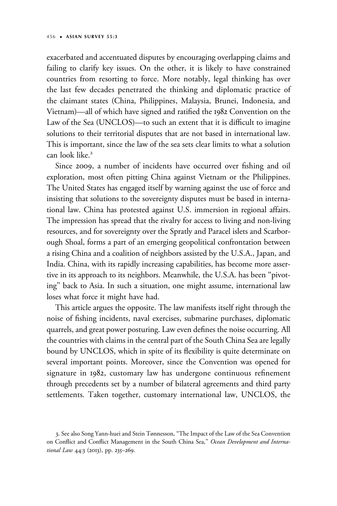exacerbated and accentuated disputes by encouraging overlapping claims and failing to clarify key issues. On the other, it is likely to have constrained countries from resorting to force. More notably, legal thinking has over the last few decades penetrated the thinking and diplomatic practice of the claimant states (China, Philippines, Malaysia, Brunei, Indonesia, and Vietnam)—all of which have signed and ratified the 1982 Convention on the Law of the Sea (UNCLOS)—to such an extent that it is difficult to imagine solutions to their territorial disputes that are not based in international law. This is important, since the law of the sea sets clear limits to what a solution can look like.<sup>3</sup>

Since 2009, a number of incidents have occurred over fishing and oil exploration, most often pitting China against Vietnam or the Philippines. The United States has engaged itself by warning against the use of force and insisting that solutions to the sovereignty disputes must be based in international law. China has protested against U.S. immersion in regional affairs. The impression has spread that the rivalry for access to living and non-living resources, and for sovereignty over the Spratly and Paracel islets and Scarborough Shoal, forms a part of an emerging geopolitical confrontation between a rising China and a coalition of neighbors assisted by the U.S.A., Japan, and India. China, with its rapidly increasing capabilities, has become more assertive in its approach to its neighbors. Meanwhile, the U.S.A. has been ''pivoting'' back to Asia. In such a situation, one might assume, international law loses what force it might have had.

This article argues the opposite. The law manifests itself right through the noise of fishing incidents, naval exercises, submarine purchases, diplomatic quarrels, and great power posturing. Law even defines the noise occurring. All the countries with claims in the central part of the South China Sea are legally bound by UNCLOS, which in spite of its flexibility is quite determinate on several important points. Moreover, since the Convention was opened for signature in 1982, customary law has undergone continuous refinement through precedents set by a number of bilateral agreements and third party settlements. Taken together, customary international law, UNCLOS, the

<sup>3.</sup> See also Song Yann-huei and Stein Tønnesson, ''The Impact of the Law of the Sea Convention on Conflict and Conflict Management in the South China Sea," Ocean Development and International Law 44:3 (2013), pp. 235-269.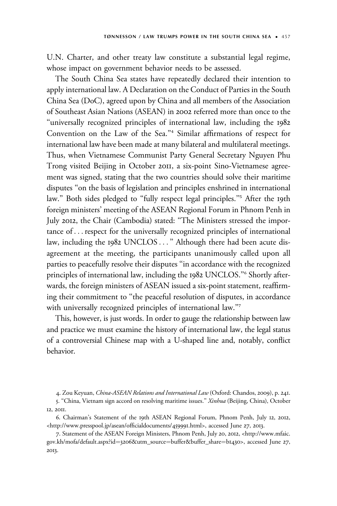U.N. Charter, and other treaty law constitute a substantial legal regime, whose impact on government behavior needs to be assessed.

The South China Sea states have repeatedly declared their intention to apply international law. A Declaration on the Conduct of Parties in the South China Sea (DoC), agreed upon by China and all members of the Association of Southeast Asian Nations (ASEAN) in 2002 referred more than once to the ''universally recognized principles of international law, including the 1982 Convention on the Law of the Sea.''<sup>4</sup> Similar affirmations of respect for international law have been made at many bilateral and multilateral meetings. Thus, when Vietnamese Communist Party General Secretary Nguyen Phu Trong visited Beijing in October 2011, a six-point Sino-Vietnamese agreement was signed, stating that the two countries should solve their maritime disputes ''on the basis of legislation and principles enshrined in international law." Both sides pledged to "fully respect legal principles."<sup>5</sup> After the 19th foreign ministers' meeting of the ASEAN Regional Forum in Phnom Penh in July 2012, the Chair (Cambodia) stated: ''The Ministers stressed the importance of ... respect for the universally recognized principles of international law, including the 1982 UNCLOS . . . " Although there had been acute disagreement at the meeting, the participants unanimously called upon all parties to peacefully resolve their disputes ''in accordance with the recognized principles of international law, including the 1982 UNCLOS."<sup>6</sup> Shortly afterwards, the foreign ministers of ASEAN issued a six-point statement, reaffirming their commitment to ''the peaceful resolution of disputes, in accordance with universally recognized principles of international law."7

This, however, is just words. In order to gauge the relationship between law and practice we must examine the history of international law, the legal status of a controversial Chinese map with a U-shaped line and, notably, conflict behavior.

<sup>4.</sup> Zou Keyuan, China-ASEAN Relations and International Law (Oxford: Chandos, 2009), p. 241.

<sup>5. &</sup>quot;China, Vietnam sign accord on resolving maritime issues." Xinhua (Beijing, China), October 12, 2011.

<sup>6.</sup> Chairman's Statement of the 19th ASEAN Regional Forum, Phnom Penh, July 12, 2012, <[http://www.presspool.jp/asean/officialdocuments/](http://www.presspool.jp/asean/officialdocuments/459991.html)459991.html>, accessed June 27, 2013.

<sup>7.</sup> Statement of the ASEAN Foreign Ministers, Phnom Penh, July 20, 2012, <[http://www.mfaic.](http://www.mfaic.gov.kh/mofa/default.aspx?id=3206&utm_source=buffer&buffer_share=b1430) [gov.kh/mofa/default.aspx?id](http://www.mfaic.gov.kh/mofa/default.aspx?id=3206&utm_source=buffer&buffer_share=b1430)=3206[&utm\\_source](http://www.mfaic.gov.kh/mofa/default.aspx?id=3206&utm_source=buffer&buffer_share=b1430)=[buffer&buffer\\_share](http://www.mfaic.gov.kh/mofa/default.aspx?id=3206&utm_source=buffer&buffer_share=b1430)=b[1430](http://www.mfaic.gov.kh/mofa/default.aspx?id=3206&utm_source=buffer&buffer_share=b1430)>, accessed June 27, 2013.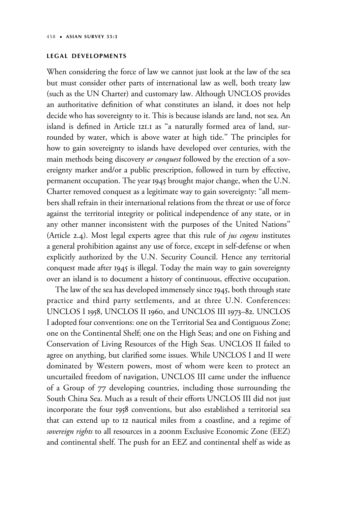#### LEGAL DEVELOPMENTS

When considering the force of law we cannot just look at the law of the sea but must consider other parts of international law as well, both treaty law (such as the UN Charter) and customary law. Although UNCLOS provides an authoritative definition of what constitutes an island, it does not help decide who has sovereignty to it. This is because islands are land, not sea. An island is defined in Article 121.1 as ''a naturally formed area of land, surrounded by water, which is above water at high tide.'' The principles for how to gain sovereignty to islands have developed over centuries, with the main methods being discovery or conquest followed by the erection of a sovereignty marker and/or a public prescription, followed in turn by effective, permanent occupation. The year 1945 brought major change, when the U.N. Charter removed conquest as a legitimate way to gain sovereignty: ''all members shall refrain in their international relations from the threat or use of force against the territorial integrity or political independence of any state, or in any other manner inconsistent with the purposes of the United Nations'' (Article 2.4). Most legal experts agree that this rule of jus cogens institutes a general prohibition against any use of force, except in self-defense or when explicitly authorized by the U.N. Security Council. Hence any territorial conquest made after 1945 is illegal. Today the main way to gain sovereignty over an island is to document a history of continuous, effective occupation.

The law of the sea has developed immensely since 1945, both through state practice and third party settlements, and at three U.N. Conferences: UNCLOS I 1958, UNCLOS II 1960, and UNCLOS III 1973–82. UNCLOS I adopted four conventions: one on the Territorial Sea and Contiguous Zone; one on the Continental Shelf; one on the High Seas; and one on Fishing and Conservation of Living Resources of the High Seas. UNCLOS II failed to agree on anything, but clarified some issues. While UNCLOS I and II were dominated by Western powers, most of whom were keen to protect an uncurtailed freedom of navigation, UNCLOS III came under the influence of a Group of 77 developing countries, including those surrounding the South China Sea. Much as a result of their efforts UNCLOS III did not just incorporate the four 1958 conventions, but also established a territorial sea that can extend up to 12 nautical miles from a coastline, and a regime of sovereign rights to all resources in a 200nm Exclusive Economic Zone (EEZ) and continental shelf. The push for an EEZ and continental shelf as wide as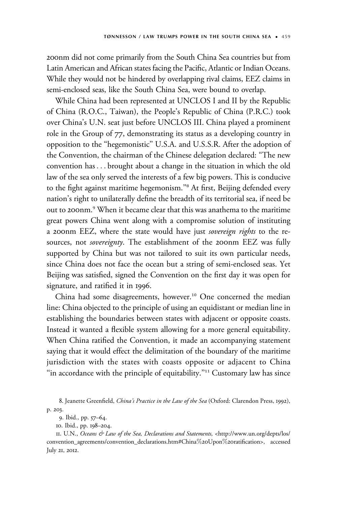200nm did not come primarily from the South China Sea countries but from Latin American and African states facing the Pacific, Atlantic or Indian Oceans. While they would not be hindered by overlapping rival claims, EEZ claims in semi-enclosed seas, like the South China Sea, were bound to overlap.

While China had been represented at UNCLOS I and II by the Republic of China (R.O.C., Taiwan), the People's Republic of China (P.R.C.) took over China's U.N. seat just before UNCLOS III. China played a prominent role in the Group of 77, demonstrating its status as a developing country in opposition to the ''hegemonistic'' U.S.A. and U.S.S.R. After the adoption of the Convention, the chairman of the Chinese delegation declared: ''The new convention has ... brought about a change in the situation in which the old law of the sea only served the interests of a few big powers. This is conducive to the fight against maritime hegemonism.''<sup>8</sup> At first, Beijing defended every nation's right to unilaterally define the breadth of its territorial sea, if need be out to 200nm.<sup>9</sup> When it became clear that this was anathema to the maritime great powers China went along with a compromise solution of instituting a 200nm EEZ, where the state would have just sovereign rights to the resources, not *sovereignty*. The establishment of the 200nm EEZ was fully supported by China but was not tailored to suit its own particular needs, since China does not face the ocean but a string of semi-enclosed seas. Yet Beijing was satisfied, signed the Convention on the first day it was open for signature, and ratified it in 1996.

China had some disagreements, however.<sup>10</sup> One concerned the median line: China objected to the principle of using an equidistant or median line in establishing the boundaries between states with adjacent or opposite coasts. Instead it wanted a flexible system allowing for a more general equitability. When China ratified the Convention, it made an accompanying statement saying that it would effect the delimitation of the boundary of the maritime jurisdiction with the states with coasts opposite or adjacent to China "in accordance with the principle of equitability."<sup>11</sup> Customary law has since

<sup>8.</sup> Jeanette Greenfield, China's Practice in the Law of the Sea (Oxford: Clarendon Press, 1992), p. 203.

<sup>9.</sup> Ibid., pp. 57–64.

<sup>10.</sup> Ibid., pp. 198–204.

<sup>11.</sup> U.N., Oceans & Law of the Sea, Declarations and Statements, [<http://www.un.org/depts/los/](http://www.un.org/depts/los/convention_agreements/convention_declarations.htm#China%20Upon%20ratification) [convention\\_agreements/convention\\_declarations.htm#China](http://www.un.org/depts/los/convention_agreements/convention_declarations.htm#China%20Upon%20ratification)%20[Upon](http://www.un.org/depts/los/convention_agreements/convention_declarations.htm#China%20Upon%20ratification)%20[ratification](http://www.un.org/depts/los/convention_agreements/convention_declarations.htm#China%20Upon%20ratification)>, accessed July 21, 2012.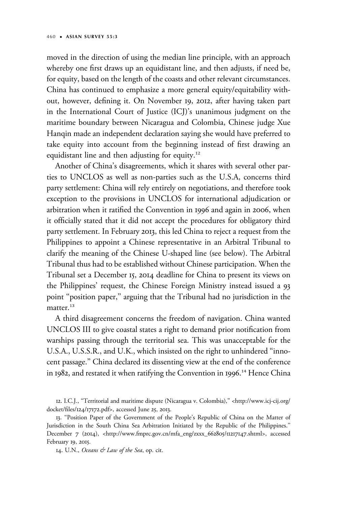moved in the direction of using the median line principle, with an approach whereby one first draws up an equidistant line, and then adjusts, if need be, for equity, based on the length of the coasts and other relevant circumstances. China has continued to emphasize a more general equity/equitability without, however, defining it. On November 19, 2012, after having taken part in the International Court of Justice (ICJ)'s unanimous judgment on the maritime boundary between Nicaragua and Colombia, Chinese judge Xue Hanqin made an independent declaration saying she would have preferred to take equity into account from the beginning instead of first drawing an equidistant line and then adjusting for equity.<sup>12</sup>

Another of China's disagreements, which it shares with several other parties to UNCLOS as well as non-parties such as the U.S.A, concerns third party settlement: China will rely entirely on negotiations, and therefore took exception to the provisions in UNCLOS for international adjudication or arbitration when it ratified the Convention in 1996 and again in 2006, when it officially stated that it did not accept the procedures for obligatory third party settlement. In February 2013, this led China to reject a request from the Philippines to appoint a Chinese representative in an Arbitral Tribunal to clarify the meaning of the Chinese U-shaped line (see below). The Arbitral Tribunal thus had to be established without Chinese participation. When the Tribunal set a December 15, 2014 deadline for China to present its views on the Philippines' request, the Chinese Foreign Ministry instead issued a 93 point ''position paper,'' arguing that the Tribunal had no jurisdiction in the matter.<sup>13</sup>

A third disagreement concerns the freedom of navigation. China wanted UNCLOS III to give coastal states a right to demand prior notification from warships passing through the territorial sea. This was unacceptable for the U.S.A., U.S.S.R., and U.K., which insisted on the right to unhindered ''innocent passage.'' China declared its dissenting view at the end of the conference in 1982, and restated it when ratifying the Convention in 1996. <sup>14</sup> Hence China

12. I.C.J., ''Territorial and maritime dispute (Nicaragua v. Colombia),'' [<http://www.icj-cij.org/](http://www.icj-cij.org/docket/files/124/17172.pdf) [docket/files/](http://www.icj-cij.org/docket/files/124/17172.pdf)124/17172.pdf>, accessed June 25, 2013.

13. ''Position Paper of the Government of the People's Republic of China on the Matter of Jurisdiction in the South China Sea Arbitration Initiated by the Republic of the Philippines.'' December 7 (2014), <[http://www.fmprc.gov.cn/mfa\\_eng/zxxx\\_](http://www.fmprc.gov.cn/mfa_eng/zxxx_662805/t1217147.shtml)662805/t1217147.shtml>, accessed February 19, 2015.

14. U.N., Oceans & Law of the Sea, op. cit.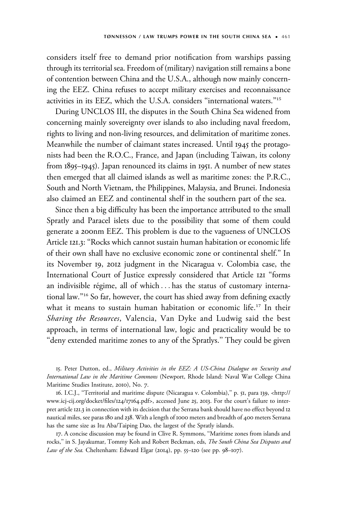considers itself free to demand prior notification from warships passing through its territorial sea. Freedom of (military) navigation still remains a bone of contention between China and the U.S.A., although now mainly concerning the EEZ. China refuses to accept military exercises and reconnaissance activities in its EEZ, which the U.S.A. considers ''international waters.''<sup>15</sup>

During UNCLOS III, the disputes in the South China Sea widened from concerning mainly sovereignty over islands to also including naval freedom, rights to living and non-living resources, and delimitation of maritime zones. Meanwhile the number of claimant states increased. Until 1945 the protagonists had been the R.O.C., France, and Japan (including Taiwan, its colony from 1895–1945). Japan renounced its claims in 1951. A number of new states then emerged that all claimed islands as well as maritime zones: the P.R.C., South and North Vietnam, the Philippines, Malaysia, and Brunei. Indonesia also claimed an EEZ and continental shelf in the southern part of the sea.

Since then a big difficulty has been the importance attributed to the small Spratly and Paracel islets due to the possibility that some of them could generate a 200nm EEZ. This problem is due to the vagueness of UNCLOS Article 121.3: ''Rocks which cannot sustain human habitation or economic life of their own shall have no exclusive economic zone or continental shelf.'' In its November 19, 2012 judgment in the Nicaragua v. Colombia case, the International Court of Justice expressly considered that Article 121 ''forms an indivisible régime, all of which ... has the status of customary international law.''<sup>16</sup> So far, however, the court has shied away from defining exactly what it means to sustain human habitation or economic life.<sup>17</sup> In their Sharing the Resources, Valencia, Van Dyke and Ludwig said the best approach, in terms of international law, logic and practicality would be to "deny extended maritime zones to any of the Spratlys." They could be given

15. Peter Dutton, ed., Military Activities in the EEZ: A US-China Dialogue on Security and International Law in the Maritime Commons (Newport, Rhode Island: Naval War College China Maritime Studies Institute, 2010), No. 7.

16. I.C.J., ''Territorial and maritime dispute (Nicaragua v. Colombia),'' p. 51, para 139, <[http://](http://www.icj-cij.org/docket/files/124/17164.pdf) [www.icj-cij.org/docket/files/](http://www.icj-cij.org/docket/files/124/17164.pdf)124/17164.pdf>, accessed June 25, 2013. For the court's failure to interpret article 121.3 in connection with its decision that the Serrana bank should have no effect beyond 12 nautical miles, see paras 180 and 238. With a length of 1000 meters and breadth of 400 meters Serrana has the same size as Itu Aba/Taiping Dao, the largest of the Spratly islands.

17. A concise discussion may be found in Clive R. Symmons, ''Maritime zones from islands and rocks," in S. Jayakumar, Tommy Koh and Robert Beckman, eds, The South China Sea Disputes and Law of the Sea. Cheltenham: Edward Elgar (2014), pp. 55-120 (see pp. 98-107).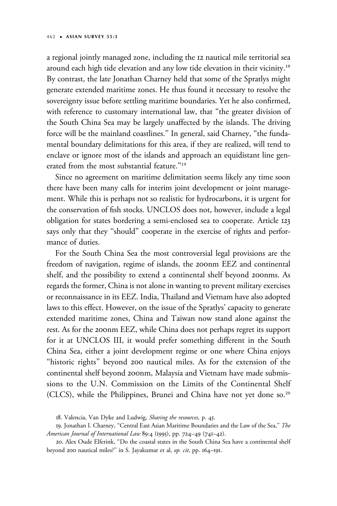a regional jointly managed zone, including the 12 nautical mile territorial sea around each high tide elevation and any low tide elevation in their vicinity.<sup>18</sup> By contrast, the late Jonathan Charney held that some of the Spratlys might generate extended maritime zones. He thus found it necessary to resolve the sovereignty issue before settling maritime boundaries. Yet he also confirmed, with reference to customary international law, that ''the greater division of the South China Sea may be largely unaffected by the islands. The driving force will be the mainland coastlines.'' In general, said Charney, ''the fundamental boundary delimitations for this area, if they are realized, will tend to enclave or ignore most of the islands and approach an equidistant line generated from the most substantial feature.''<sup>19</sup>

Since no agreement on maritime delimitation seems likely any time soon there have been many calls for interim joint development or joint management. While this is perhaps not so realistic for hydrocarbons, it is urgent for the conservation of fish stocks. UNCLOS does not, however, include a legal obligation for states bordering a semi-enclosed sea to cooperate. Article 123 says only that they "should" cooperate in the exercise of rights and performance of duties.

For the South China Sea the most controversial legal provisions are the freedom of navigation, regime of islands, the 200nm EEZ and continental shelf, and the possibility to extend a continental shelf beyond 200nms. As regards the former, China is not alone in wanting to prevent military exercises or reconnaissance in its EEZ. India, Thailand and Vietnam have also adopted laws to this effect. However, on the issue of the Spratlys' capacity to generate extended maritime zones, China and Taiwan now stand alone against the rest. As for the 200nm EEZ, while China does not perhaps regret its support for it at UNCLOS III, it would prefer something different in the South China Sea, either a joint development regime or one where China enjoys "historic rights" beyond 200 nautical miles. As for the extension of the continental shelf beyond 200nm, Malaysia and Vietnam have made submissions to the U.N. Commission on the Limits of the Continental Shelf (CLCS), while the Philippines, Brunei and China have not yet done so.<sup>20</sup>

<sup>18.</sup> Valencia, Van Dyke and Ludwig, Sharing the resources, p. 45.

<sup>19.</sup> Jonathan I. Charney, "Central East Asian Maritime Boundaries and the Law of the Sea," The American Journal of International Law 89:4 (1995), pp. 724–49 (741–42).

<sup>20.</sup> Alex Oude Elferink, ''Do the coastal states in the South China Sea have a continental shelf beyond 200 nautical miles?'' in S. Jayakumar et al, op. cit, pp. 164–191.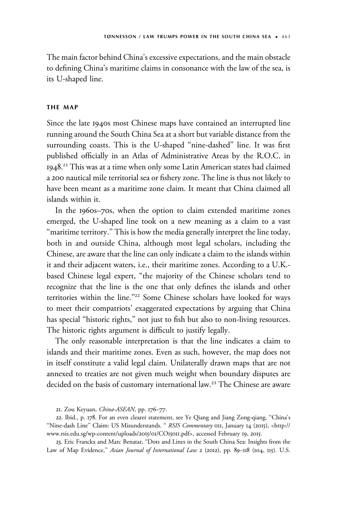The main factor behind China's excessive expectations, and the main obstacle to defining China's maritime claims in consonance with the law of the sea, is its U-shaped line.

# THE MAP

Since the late 1940s most Chinese maps have contained an interrupted line running around the South China Sea at a short but variable distance from the surrounding coasts. This is the U-shaped "nine-dashed" line. It was first published officially in an Atlas of Administrative Areas by the R.O.C. in 1948.<sup>21</sup> This was at a time when only some Latin American states had claimed a 200 nautical mile territorial sea or fishery zone. The line is thus not likely to have been meant as a maritime zone claim. It meant that China claimed all islands within it.

In the 1960s–70s, when the option to claim extended maritime zones emerged, the U-shaped line took on a new meaning as a claim to a vast "maritime territory." This is how the media generally interpret the line today, both in and outside China, although most legal scholars, including the Chinese, are aware that the line can only indicate a claim to the islands within it and their adjacent waters, i.e., their maritime zones. According to a U.K. based Chinese legal expert, ''the majority of the Chinese scholars tend to recognize that the line is the one that only defines the islands and other territories within the line."<sup>22</sup> Some Chinese scholars have looked for ways to meet their compatriots' exaggerated expectations by arguing that China has special ''historic rights,'' not just to fish but also to non-living resources. The historic rights argument is difficult to justify legally.

The only reasonable interpretation is that the line indicates a claim to islands and their maritime zones. Even as such, however, the map does not in itself constitute a valid legal claim. Unilaterally drawn maps that are not annexed to treaties are not given much weight when boundary disputes are decided on the basis of customary international law.<sup>23</sup> The Chinese are aware

22. Ibid., p. 178. For an even clearer statement, see Ye Qiang and Jiang Zong-qiang, ''China's ''Nine-dash Line'' Claim: US Misunderstands. '' RSIS Commentary 011, January 14 (2015), <[http://](http://www.rsis.edu.sg/wp-content/uploads/2015/01/CO15011.pdf) [www.rsis.edu.sg/wp-content/uploads/](http://www.rsis.edu.sg/wp-content/uploads/2015/01/CO15011.pdf)2015/01/CO15011.pdf>, accessed February 19, 2015.

23. Eric Franckx and Marc Benatar, ''Dots and Lines in the South China Sea: Insights from the Law of Map Evidence," Asian Journal of International Law 2 (2012), pp. 89-118 (104, 115). U.S.

<sup>21.</sup> Zou Keyuan, China-ASEAN, pp. 176–77.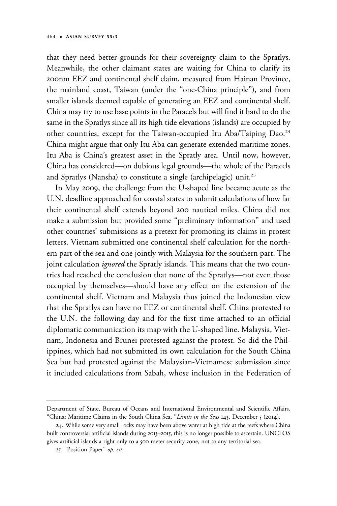that they need better grounds for their sovereignty claim to the Spratlys. Meanwhile, the other claimant states are waiting for China to clarify its 200nm EEZ and continental shelf claim, measured from Hainan Province, the mainland coast, Taiwan (under the ''one-China principle''), and from smaller islands deemed capable of generating an EEZ and continental shelf. China may try to use base points in the Paracels but will find it hard to do the same in the Spratlys since all its high tide elevations (islands) are occupied by other countries, except for the Taiwan-occupied Itu Aba/Taiping Dao.<sup>24</sup> China might argue that only Itu Aba can generate extended maritime zones. Itu Aba is China's greatest asset in the Spratly area. Until now, however, China has considered—on dubious legal grounds—the whole of the Paracels and Spratlys (Nansha) to constitute a single (archipelagic) unit.<sup>25</sup>

In May 2009, the challenge from the U-shaped line became acute as the U.N. deadline approached for coastal states to submit calculations of how far their continental shelf extends beyond 200 nautical miles. China did not make a submission but provided some ''preliminary information'' and used other countries' submissions as a pretext for promoting its claims in protest letters. Vietnam submitted one continental shelf calculation for the northern part of the sea and one jointly with Malaysia for the southern part. The joint calculation *ignored* the Spratly islands. This means that the two countries had reached the conclusion that none of the Spratlys—not even those occupied by themselves—should have any effect on the extension of the continental shelf. Vietnam and Malaysia thus joined the Indonesian view that the Spratlys can have no EEZ or continental shelf. China protested to the U.N. the following day and for the first time attached to an official diplomatic communication its map with the U-shaped line. Malaysia, Vietnam, Indonesia and Brunei protested against the protest. So did the Philippines, which had not submitted its own calculation for the South China Sea but had protested against the Malaysian-Vietnamese submission since China might argue that only It<br>China might argue that only It<br>Itu Aba is China's greatest ass<br>China has considered—on dub<br>and Spratlys (Nansha) to const<br>In May 2009, the challenge<br>U.N. deadline approached for c<br>their cont it included calculations from Sabah, whose inclusion in the Federation of

Department of State, Bureau of Oceans and International Environmental and Scientific Affairs, "China: Maritime Claims in the South China Sea, "Limits in the Seas 143, December 5 (2014).

<sup>24.</sup> While some very small rocks may have been above water at high tide at the reefs where China built controversial artificial islands during 2013–2015, this is no longer possible to ascertain. UNCLOS gives artificial islands a right only to a 500 meter security zone, not to any territorial sea.

<sup>25. &</sup>quot;Position Paper" op. cit.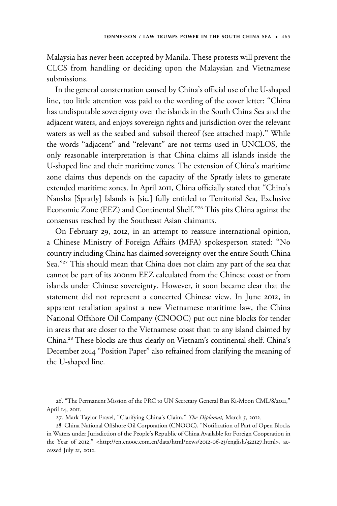Malaysia has never been accepted by Manila. These protests will prevent the CLCS from handling or deciding upon the Malaysian and Vietnamese submissions.

In the general consternation caused by China's official use of the U-shaped line, too little attention was paid to the wording of the cover letter: ''China has undisputable sovereignty over the islands in the South China Sea and the adjacent waters, and enjoys sovereign rights and jurisdiction over the relevant waters as well as the seabed and subsoil thereof (see attached map).'' While the words ''adjacent'' and ''relevant'' are not terms used in UNCLOS, the only reasonable interpretation is that China claims all islands inside the U-shaped line and their maritime zones. The extension of China's maritime zone claims thus depends on the capacity of the Spratly islets to generate extended maritime zones. In April 2011, China officially stated that ''China's Nansha [Spratly] Islands is [sic.] fully entitled to Territorial Sea, Exclusive Economic Zone (EEZ) and Continental Shelf.''<sup>26</sup> This pits China against the consensus reached by the Southeast Asian claimants.

On February 29, 2012, in an attempt to reassure international opinion, a Chinese Ministry of Foreign Affairs (MFA) spokesperson stated: ''No country including China has claimed sovereignty over the entire South China Sea."<sup>27</sup> This should mean that China does not claim any part of the sea that cannot be part of its 200nm EEZ calculated from the Chinese coast or from islands under Chinese sovereignty. However, it soon became clear that the statement did not represent a concerted Chinese view. In June 2012, in apparent retaliation against a new Vietnamese maritime law, the China National Offshore Oil Company (CNOOC) put out nine blocks for tender in areas that are closer to the Vietnamese coast than to any island claimed by China.<sup>28</sup> These blocks are thus clearly on Vietnam's continental shelf. China's December 2014 ''Position Paper'' also refrained from clarifying the meaning of the U-shaped line.

<sup>26.</sup> ''The Permanent Mission of the PRC to UN Secretary General Ban Ki-Moon CML/8/2011,'' April 14, 2011.

<sup>27.</sup> Mark Taylor Fravel, "Clarifying China's Claim," The Diplomat, March 5, 2012.

<sup>28.</sup> China National Offshore Oil Corporation (CNOOC), ''Notification of Part of Open Blocks in Waters under Jurisdiction of the People's Republic of China Available for Foreign Cooperation in the Year of 2012," <[http://en.cnooc.com.cn/data/html/news/](http://en.cnooc.com.cn/data/html/news/2012-06-23/english/322127.html)2012-06-23/english/322127.html>, accessed July 21, 2012.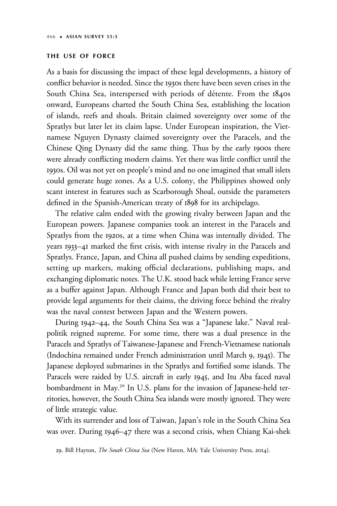#### THE USE OF FORCE

As a basis for discussing the impact of these legal developments, a history of conflict behavior is needed. Since the 1930s there have been seven crises in the South China Sea, interspersed with periods of détente. From the 1840s onward, Europeans charted the South China Sea, establishing the location of islands, reefs and shoals. Britain claimed sovereignty over some of the Spratlys but later let its claim lapse. Under European inspiration, the Vietnamese Nguyen Dynasty claimed sovereignty over the Paracels, and the Chinese Qing Dynasty did the same thing. Thus by the early 1900s there were already conflicting modern claims. Yet there was little conflict until the 1930s. Oil was not yet on people's mind and no one imagined that small islets could generate huge zones. As a U.S. colony, the Philippines showed only scant interest in features such as Scarborough Shoal, outside the parameters defined in the Spanish-American treaty of 1898 for its archipelago.

The relative calm ended with the growing rivalry between Japan and the European powers. Japanese companies took an interest in the Paracels and Spratlys from the 1920s, at a time when China was internally divided. The years 1933–41 marked the first crisis, with intense rivalry in the Paracels and Spratlys. France, Japan, and China all pushed claims by sending expeditions, setting up markers, making official declarations, publishing maps, and exchanging diplomatic notes. The U.K. stood back while letting France serve as a buffer against Japan. Although France and Japan both did their best to provide legal arguments for their claims, the driving force behind the rivalry was the naval contest between Japan and the Western powers.

During 1942–44, the South China Sea was a ''Japanese lake.'' Naval realpolitik reigned supreme. For some time, there was a dual presence in the Paracels and Spratlys of Taiwanese-Japanese and French-Vietnamese nationals (Indochina remained under French administration until March 9, 1945). The Japanese deployed submarines in the Spratlys and fortified some islands. The Paracels were raided by U.S. aircraft in early 1945, and Itu Aba faced naval bombardment in May.<sup>29</sup> In U.S. plans for the invasion of Japanese-held territories, however, the South China Sea islands were mostly ignored. They were of little strategic value.

With its surrender and loss of Taiwan, Japan's role in the South China Sea was over. During 1946–47 there was a second crisis, when Chiang Kai-shek

29. Bill Hayton, The South China Sea (New Haven, MA: Yale University Press, 2014).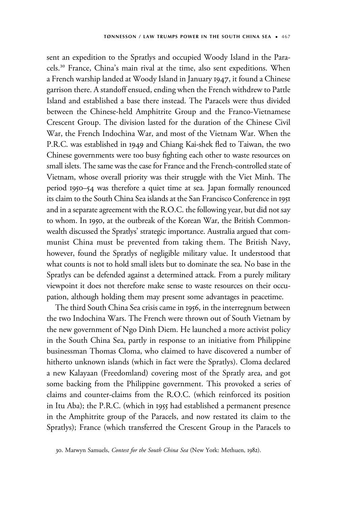sent an expedition to the Spratlys and occupied Woody Island in the Paracels.<sup>30</sup> France, China's main rival at the time, also sent expeditions. When a French warship landed at Woody Island in January 1947, it found a Chinese garrison there. A standoff ensued, ending when the French withdrew to Pattle Island and established a base there instead. The Paracels were thus divided between the Chinese-held Amphitrite Group and the Franco-Vietnamese Crescent Group. The division lasted for the duration of the Chinese Civil War, the French Indochina War, and most of the Vietnam War. When the P.R.C. was established in 1949 and Chiang Kai-shek fled to Taiwan, the two Chinese governments were too busy fighting each other to waste resources on small islets. The same was the case for France and the French-controlled state of Vietnam, whose overall priority was their struggle with the Viet Minh. The period 1950–54 was therefore a quiet time at sea. Japan formally renounced its claim to the South China Sea islands at the San Francisco Conference in 1951 and in a separate agreement with the R.O.C. the following year, but did not say to whom. In 1950, at the outbreak of the Korean War, the British Commonwealth discussed the Spratlys' strategic importance. Australia argued that communist China must be prevented from taking them. The British Navy, however, found the Spratlys of negligible military value. It understood that what counts is not to hold small islets but to dominate the sea. No base in the Spratlys can be defended against a determined attack. From a purely military viewpoint it does not therefore make sense to waste resources on their occupation, although holding them may present some advantages in peacetime.

The third South China Sea crisis came in 1956, in the interregnum between the two Indochina Wars. The French were thrown out of South Vietnam by the new government of Ngo Dinh Diem. He launched a more activist policy in the South China Sea, partly in response to an initiative from Philippine businessman Thomas Cloma, who claimed to have discovered a number of hitherto unknown islands (which in fact were the Spratlys). Cloma declared a new Kalayaan (Freedomland) covering most of the Spratly area, and got some backing from the Philippine government. This provoked a series of claims and counter-claims from the R.O.C. (which reinforced its position in Itu Aba); the P.R.C. (which in 1955 had established a permanent presence in the Amphitrite group of the Paracels, and now restated its claim to the Spratlys); France (which transferred the Crescent Group in the Paracels to

<sup>30.</sup> Marwyn Samuels, Contest for the South China Sea (New York: Methuen, 1982).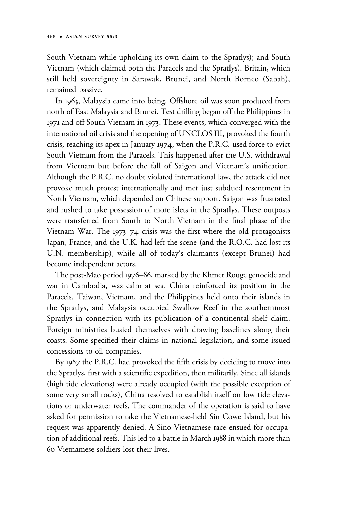South Vietnam while upholding its own claim to the Spratlys); and South Vietnam (which claimed both the Paracels and the Spratlys). Britain, which still held sovereignty in Sarawak, Brunei, and North Borneo (Sabah), remained passive.

In 1963, Malaysia came into being. Offshore oil was soon produced from north of East Malaysia and Brunei. Test drilling began off the Philippines in 1971 and off South Vietnam in 1973. These events, which converged with the international oil crisis and the opening of UNCLOS III, provoked the fourth crisis, reaching its apex in January 1974, when the P.R.C. used force to evict South Vietnam from the Paracels. This happened after the U.S. withdrawal from Vietnam but before the fall of Saigon and Vietnam's unification. Although the P.R.C. no doubt violated international law, the attack did not provoke much protest internationally and met just subdued resentment in North Vietnam, which depended on Chinese support. Saigon was frustrated and rushed to take possession of more islets in the Spratlys. These outposts were transferred from South to North Vietnam in the final phase of the Vietnam War. The 1973–74 crisis was the first where the old protagonists Japan, France, and the U.K. had left the scene (and the R.O.C. had lost its U.N. membership), while all of today's claimants (except Brunei) had become independent actors.

The post-Mao period 1976–86, marked by the Khmer Rouge genocide and war in Cambodia, was calm at sea. China reinforced its position in the Paracels. Taiwan, Vietnam, and the Philippines held onto their islands in the Spratlys, and Malaysia occupied Swallow Reef in the southernmost Spratlys in connection with its publication of a continental shelf claim. Foreign ministries busied themselves with drawing baselines along their coasts. Some specified their claims in national legislation, and some issued concessions to oil companies.

By 1987 the P.R.C. had provoked the fifth crisis by deciding to move into the Spratlys, first with a scientific expedition, then militarily. Since all islands (high tide elevations) were already occupied (with the possible exception of some very small rocks), China resolved to establish itself on low tide elevations or underwater reefs. The commander of the operation is said to have asked for permission to take the Vietnamese-held Sin Cowe Island, but his request was apparently denied. A Sino-Vietnamese race ensued for occupation of additional reefs. This led to a battle in March 1988 in which more than 60 Vietnamese soldiers lost their lives.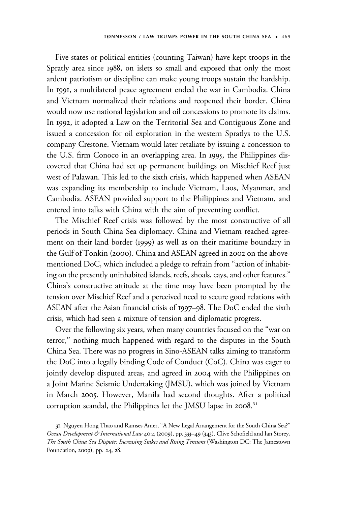Five states or political entities (counting Taiwan) have kept troops in the Spratly area since 1988, on islets so small and exposed that only the most ardent patriotism or discipline can make young troops sustain the hardship. In 1991, a multilateral peace agreement ended the war in Cambodia. China and Vietnam normalized their relations and reopened their border. China would now use national legislation and oil concessions to promote its claims. In 1992, it adopted a Law on the Territorial Sea and Contiguous Zone and issued a concession for oil exploration in the western Spratlys to the U.S. company Crestone. Vietnam would later retaliate by issuing a concession to the U.S. firm Conoco in an overlapping area. In 1995, the Philippines discovered that China had set up permanent buildings on Mischief Reef just west of Palawan. This led to the sixth crisis, which happened when ASEAN was expanding its membership to include Vietnam, Laos, Myanmar, and Cambodia. ASEAN provided support to the Philippines and Vietnam, and entered into talks with China with the aim of preventing conflict.

The Mischief Reef crisis was followed by the most constructive of all periods in South China Sea diplomacy. China and Vietnam reached agreement on their land border (1999) as well as on their maritime boundary in the Gulf of Tonkin (2000). China and ASEAN agreed in 2002 on the abovementioned DoC, which included a pledge to refrain from ''action of inhabiting on the presently uninhabited islands, reefs, shoals, cays, and other features.'' China's constructive attitude at the time may have been prompted by the tension over Mischief Reef and a perceived need to secure good relations with ASEAN after the Asian financial crisis of 1997–98. The DoC ended the sixth crisis, which had seen a mixture of tension and diplomatic progress.

Over the following six years, when many countries focused on the ''war on terror,'' nothing much happened with regard to the disputes in the South China Sea. There was no progress in Sino-ASEAN talks aiming to transform the DoC into a legally binding Code of Conduct (CoC). China was eager to jointly develop disputed areas, and agreed in 2004 with the Philippines on a Joint Marine Seismic Undertaking (JMSU), which was joined by Vietnam in March 2005. However, Manila had second thoughts. After a political corruption scandal, the Philippines let the JMSU lapse in 2008.<sup>31</sup>

31. Nguyen Hong Thao and Ramses Amer, ''A New Legal Arrangement for the South China Sea?'' Ocean Development & International Law 40:4 (2009), pp. 333-49 (343). Clive Schofield and Ian Storey, The South China Sea Dispute: Increasing Stakes and Rising Tensions (Washington DC: The Jamestown Foundation, 2009), pp. 24, 28.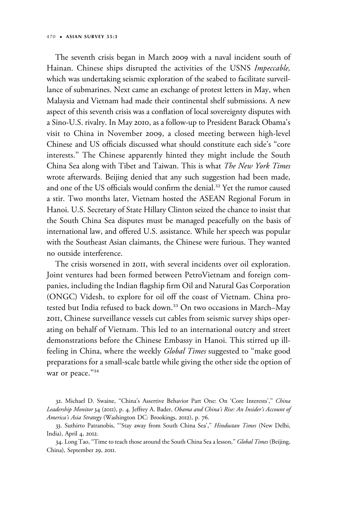The seventh crisis began in March 2009 with a naval incident south of Hainan. Chinese ships disrupted the activities of the USNS Impeccable, which was undertaking seismic exploration of the seabed to facilitate surveillance of submarines. Next came an exchange of protest letters in May, when Malaysia and Vietnam had made their continental shelf submissions. A new aspect of this seventh crisis was a conflation of local sovereignty disputes with a Sino-U.S. rivalry. In May 2010, as a follow-up to President Barack Obama's visit to China in November 2009, a closed meeting between high-level Chinese and US officials discussed what should constitute each side's ''core interests.'' The Chinese apparently hinted they might include the South China Sea along with Tibet and Taiwan. This is what The New York Times wrote afterwards. Beijing denied that any such suggestion had been made, and one of the US officials would confirm the denial.<sup>32</sup> Yet the rumor caused a stir. Two months later, Vietnam hosted the ASEAN Regional Forum in Hanoi. U.S. Secretary of State Hillary Clinton seized the chance to insist that the South China Sea disputes must be managed peacefully on the basis of international law, and offered U.S. assistance. While her speech was popular with the Southeast Asian claimants, the Chinese were furious. They wanted no outside interference.

The crisis worsened in 2011, with several incidents over oil exploration. Joint ventures had been formed between PetroVietnam and foreign companies, including the Indian flagship firm Oil and Natural Gas Corporation (ONGC) Videsh, to explore for oil off the coast of Vietnam. China protested but India refused to back down.<sup>33</sup> On two occasions in March-May 2011, Chinese surveillance vessels cut cables from seismic survey ships operating on behalf of Vietnam. This led to an international outcry and street demonstrations before the Chinese Embassy in Hanoi. This stirred up illfeeling in China, where the weekly Global Times suggested to "make good preparations for a small-scale battle while giving the other side the option of war or peace."<sup>34</sup>

<sup>32.</sup> Michael D. Swaine, "China's Assertive Behavior Part One: On 'Core Interests'," China Leadership Monitor 34 (2011), p. 4. Jeffrey A. Bader, Obama and China's Rise: An Insider's Account of America's Asia Strategy (Washington DC: Brookings, 2012), p. 76.

<sup>33.</sup> Suthirto Patranobis, "'Stay away from South China Sea'," Hindustan Times (New Delhi, India), April 4, 2012.

<sup>34.</sup> Long Tao, "Time to teach those around the South China Sea a lesson," Global Times (Beijing, China), September 29, 2011.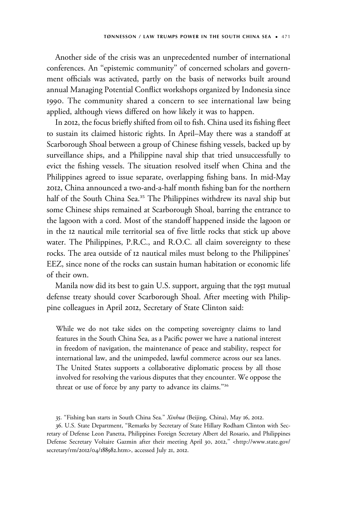Another side of the crisis was an unprecedented number of international conferences. An ''epistemic community'' of concerned scholars and government officials was activated, partly on the basis of networks built around annual Managing Potential Conflict workshops organized by Indonesia since 1990. The community shared a concern to see international law being applied, although views differed on how likely it was to happen.

In 2012, the focus briefly shifted from oil to fish. China used its fishing fleet to sustain its claimed historic rights. In April–May there was a standoff at Scarborough Shoal between a group of Chinese fishing vessels, backed up by surveillance ships, and a Philippine naval ship that tried unsuccessfully to evict the fishing vessels. The situation resolved itself when China and the Philippines agreed to issue separate, overlapping fishing bans. In mid-May 2012, China announced a two-and-a-half month fishing ban for the northern half of the South China Sea.<sup>35</sup> The Philippines withdrew its naval ship but some Chinese ships remained at Scarborough Shoal, barring the entrance to the lagoon with a cord. Most of the standoff happened inside the lagoon or in the 12 nautical mile territorial sea of five little rocks that stick up above water. The Philippines, P.R.C., and R.O.C. all claim sovereignty to these rocks. The area outside of 12 nautical miles must belong to the Philippines' EEZ, since none of the rocks can sustain human habitation or economic life of their own.

Manila now did its best to gain U.S. support, arguing that the 1951 mutual defense treaty should cover Scarborough Shoal. After meeting with Philippine colleagues in April 2012, Secretary of State Clinton said:

While we do not take sides on the competing sovereignty claims to land features in the South China Sea, as a Pacific power we have a national interest in freedom of navigation, the maintenance of peace and stability, respect for international law, and the unimpeded, lawful commerce across our sea lanes. The United States supports a collaborative diplomatic process by all those involved for resolving the various disputes that they encounter. We oppose the threat or use of force by any party to advance its claims.''<sup>36</sup>

35. "Fishing ban starts in South China Sea." Xinhua (Beijing, China), May 16, 2012.

36. U.S. State Department, ''Remarks by Secretary of State Hillary Rodham Clinton with Secretary of Defense Leon Panetta, Philippines Foreign Secretary Albert del Rosario, and Philippines Defense Secretary Voltaire Gazmin after their meeting April 30, 2012,'' [<http://www.state.gov/](http://www.state.gov/secretary/rm/2012/04/188982.htm) [secretary/rm/](http://www.state.gov/secretary/rm/2012/04/188982.htm)2012/04/188982.htm>, accessed July 21, 2012.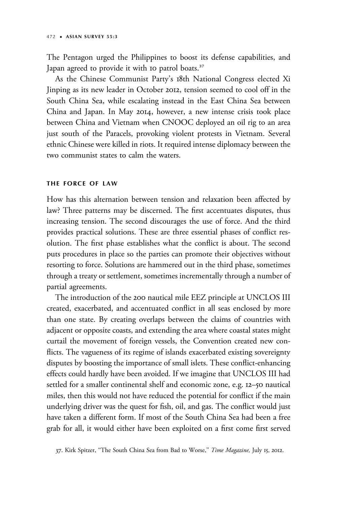The Pentagon urged the Philippines to boost its defense capabilities, and Japan agreed to provide it with 10 patrol boats.<sup>37</sup>

As the Chinese Communist Party's 18th National Congress elected Xi Jinping as its new leader in October 2012, tension seemed to cool off in the South China Sea, while escalating instead in the East China Sea between China and Japan. In May 2014, however, a new intense crisis took place between China and Vietnam when CNOOC deployed an oil rig to an area just south of the Paracels, provoking violent protests in Vietnam. Several ethnic Chinese were killed in riots. It required intense diplomacy between the two communist states to calm the waters.

## THE FORCE OF LAW

How has this alternation between tension and relaxation been affected by law? Three patterns may be discerned. The first accentuates disputes, thus increasing tension. The second discourages the use of force. And the third provides practical solutions. These are three essential phases of conflict resolution. The first phase establishes what the conflict is about. The second puts procedures in place so the parties can promote their objectives without resorting to force. Solutions are hammered out in the third phase, sometimes through a treaty or settlement, sometimes incrementally through a number of partial agreements.

The introduction of the 200 nautical mile EEZ principle at UNCLOS III created, exacerbated, and accentuated conflict in all seas enclosed by more than one state. By creating overlaps between the claims of countries with adjacent or opposite coasts, and extending the area where coastal states might curtail the movement of foreign vessels, the Convention created new conflicts. The vagueness of its regime of islands exacerbated existing sovereignty disputes by boosting the importance of small islets. These conflict-enhancing effects could hardly have been avoided. If we imagine that UNCLOS III had settled for a smaller continental shelf and economic zone, e.g. 12–50 nautical miles, then this would not have reduced the potential for conflict if the main underlying driver was the quest for fish, oil, and gas. The conflict would just have taken a different form. If most of the South China Sea had been a free grab for all, it would either have been exploited on a first come first served

<sup>37.</sup> Kirk Spitzer, "The South China Sea from Bad to Worse," Time Magazine, July 15, 2012.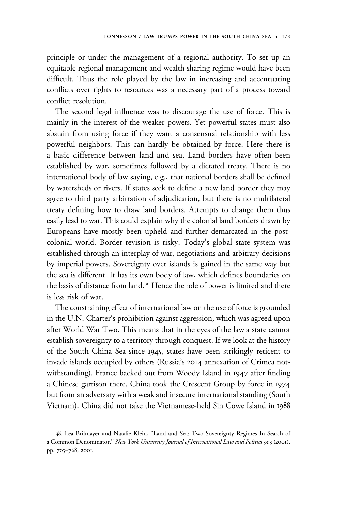principle or under the management of a regional authority. To set up an equitable regional management and wealth sharing regime would have been difficult. Thus the role played by the law in increasing and accentuating conflicts over rights to resources was a necessary part of a process toward conflict resolution.

The second legal influence was to discourage the use of force. This is mainly in the interest of the weaker powers. Yet powerful states must also abstain from using force if they want a consensual relationship with less powerful neighbors. This can hardly be obtained by force. Here there is a basic difference between land and sea. Land borders have often been established by war, sometimes followed by a dictated treaty. There is no international body of law saying, e.g., that national borders shall be defined by watersheds or rivers. If states seek to define a new land border they may agree to third party arbitration of adjudication, but there is no multilateral treaty defining how to draw land borders. Attempts to change them thus easily lead to war. This could explain why the colonial land borders drawn by Europeans have mostly been upheld and further demarcated in the postcolonial world. Border revision is risky. Today's global state system was established through an interplay of war, negotiations and arbitrary decisions by imperial powers. Sovereignty over islands is gained in the same way but the sea is different. It has its own body of law, which defines boundaries on the basis of distance from land.<sup>38</sup> Hence the role of power is limited and there is less risk of war.

The constraining effect of international law on the use of force is grounded in the U.N. Charter's prohibition against aggression, which was agreed upon after World War Two. This means that in the eyes of the law a state cannot establish sovereignty to a territory through conquest. If we look at the history of the South China Sea since 1945, states have been strikingly reticent to invade islands occupied by others (Russia's 2014 annexation of Crimea notwithstanding). France backed out from Woody Island in 1947 after finding a Chinese garrison there. China took the Crescent Group by force in 1974 but from an adversary with a weak and insecure international standing (South Vietnam). China did not take the Vietnamese-held Sin Cowe Island in 1988

<sup>38.</sup> Lea Brilmayer and Natalie Klein, ''Land and Sea: Two Sovereignty Regimes In Search of a Common Denominator," New York University Journal of International Law and Politics 33:3 (2001), pp. 703–768, 2001.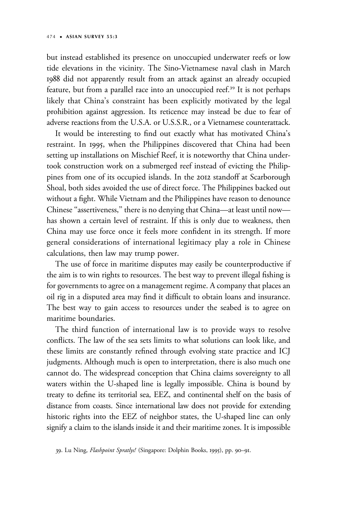but instead established its presence on unoccupied underwater reefs or low tide elevations in the vicinity. The Sino-Vietnamese naval clash in March 1988 did not apparently result from an attack against an already occupied feature, but from a parallel race into an unoccupied reef.<sup>39</sup> It is not perhaps likely that China's constraint has been explicitly motivated by the legal prohibition against aggression. Its reticence may instead be due to fear of adverse reactions from the U.S.A. or U.S.S.R., or a Vietnamese counterattack.

It would be interesting to find out exactly what has motivated China's restraint. In 1995, when the Philippines discovered that China had been setting up installations on Mischief Reef, it is noteworthy that China undertook construction work on a submerged reef instead of evicting the Philippines from one of its occupied islands. In the 2012 standoff at Scarborough Shoal, both sides avoided the use of direct force. The Philippines backed out without a fight. While Vietnam and the Philippines have reason to denounce Chinese ''assertiveness,'' there is no denying that China—at least until now has shown a certain level of restraint. If this is only due to weakness, then China may use force once it feels more confident in its strength. If more general considerations of international legitimacy play a role in Chinese calculations, then law may trump power.

The use of force in maritime disputes may easily be counterproductive if the aim is to win rights to resources. The best way to prevent illegal fishing is for governments to agree on a management regime. A company that places an oil rig in a disputed area may find it difficult to obtain loans and insurance. The best way to gain access to resources under the seabed is to agree on maritime boundaries.

The third function of international law is to provide ways to resolve conflicts. The law of the sea sets limits to what solutions can look like, and these limits are constantly refined through evolving state practice and ICJ judgments. Although much is open to interpretation, there is also much one cannot do. The widespread conception that China claims sovereignty to all waters within the U-shaped line is legally impossible. China is bound by treaty to define its territorial sea, EEZ, and continental shelf on the basis of distance from coasts. Since international law does not provide for extending historic rights into the EEZ of neighbor states, the U-shaped line can only signify a claim to the islands inside it and their maritime zones. It is impossible

<sup>39.</sup> Lu Ning, Flashpoint Spratlys! (Singapore: Dolphin Books, 1995), pp. 90–91.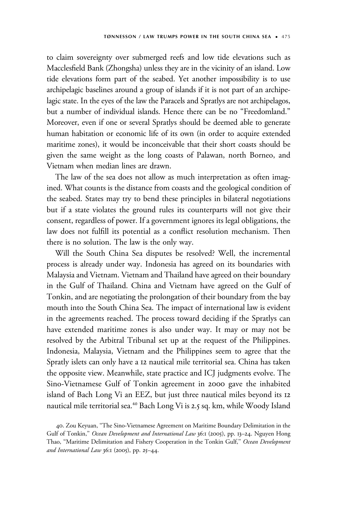to claim sovereignty over submerged reefs and low tide elevations such as Macclesfield Bank (Zhongsha) unless they are in the vicinity of an island. Low tide elevations form part of the seabed. Yet another impossibility is to use archipelagic baselines around a group of islands if it is not part of an archipelagic state. In the eyes of the law the Paracels and Spratlys are not archipelagos, but a number of individual islands. Hence there can be no ''Freedomland.'' Moreover, even if one or several Spratlys should be deemed able to generate human habitation or economic life of its own (in order to acquire extended maritime zones), it would be inconceivable that their short coasts should be given the same weight as the long coasts of Palawan, north Borneo, and Vietnam when median lines are drawn.

The law of the sea does not allow as much interpretation as often imagined. What counts is the distance from coasts and the geological condition of the seabed. States may try to bend these principles in bilateral negotiations but if a state violates the ground rules its counterparts will not give their consent, regardless of power. If a government ignores its legal obligations, the law does not fulfill its potential as a conflict resolution mechanism. Then there is no solution. The law is the only way.

Will the South China Sea disputes be resolved? Well, the incremental process is already under way. Indonesia has agreed on its boundaries with Malaysia and Vietnam. Vietnam and Thailand have agreed on their boundary in the Gulf of Thailand. China and Vietnam have agreed on the Gulf of Tonkin, and are negotiating the prolongation of their boundary from the bay mouth into the South China Sea. The impact of international law is evident in the agreements reached. The process toward deciding if the Spratlys can have extended maritime zones is also under way. It may or may not be resolved by the Arbitral Tribunal set up at the request of the Philippines. Indonesia, Malaysia, Vietnam and the Philippines seem to agree that the Spratly islets can only have a 12 nautical mile territorial sea. China has taken the opposite view. Meanwhile, state practice and ICJ judgments evolve. The Sino-Vietnamese Gulf of Tonkin agreement in 2000 gave the inhabited island of Bach Long Vi an EEZ, but just three nautical miles beyond its 12 nautical mile territorial sea.<sup>40</sup> Bach Long Vi is 2.5 sq. km, while Woody Island

40. Zou Keyuan, ''The Sino-Vietnamese Agreement on Maritime Boundary Delimitation in the Gulf of Tonkin," Ocean Development and International Law 36:1 (2005), pp. 13-24. Nguyen Hong Thao, "Maritime Delimitation and Fishery Cooperation in the Tonkin Gulf," Ocean Development and International Law 36:1 (2005), pp. 25-44.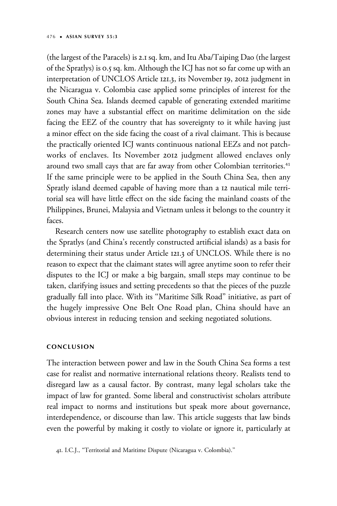(the largest of the Paracels) is 2.1 sq. km, and Itu Aba/Taiping Dao (the largest of the Spratlys) is 0.5 sq. km. Although the ICJ has not so far come up with an interpretation of UNCLOS Article 121.3, its November 19, 2012 judgment in the Nicaragua v. Colombia case applied some principles of interest for the South China Sea. Islands deemed capable of generating extended maritime zones may have a substantial effect on maritime delimitation on the side facing the EEZ of the country that has sovereignty to it while having just a minor effect on the side facing the coast of a rival claimant. This is because the practically oriented ICJ wants continuous national EEZs and not patchworks of enclaves. Its November 2012 judgment allowed enclaves only around two small cays that are far away from other Colombian territories.<sup>41</sup> If the same principle were to be applied in the South China Sea, then any Spratly island deemed capable of having more than a 12 nautical mile territorial sea will have little effect on the side facing the mainland coasts of the Philippines, Brunei, Malaysia and Vietnam unless it belongs to the country it faces.

Research centers now use satellite photography to establish exact data on the Spratlys (and China's recently constructed artificial islands) as a basis for determining their status under Article 121.3 of UNCLOS. While there is no reason to expect that the claimant states will agree anytime soon to refer their disputes to the ICJ or make a big bargain, small steps may continue to be taken, clarifying issues and setting precedents so that the pieces of the puzzle gradually fall into place. With its ''Maritime Silk Road'' initiative, as part of the hugely impressive One Belt One Road plan, China should have an obvious interest in reducing tension and seeking negotiated solutions.

## CONCLUSION

The interaction between power and law in the South China Sea forms a test case for realist and normative international relations theory. Realists tend to disregard law as a causal factor. By contrast, many legal scholars take the impact of law for granted. Some liberal and constructivist scholars attribute real impact to norms and institutions but speak more about governance, interdependence, or discourse than law. This article suggests that law binds even the powerful by making it costly to violate or ignore it, particularly at

<sup>41.</sup> I.C.J., ''Territorial and Maritime Dispute (Nicaragua v. Colombia).''